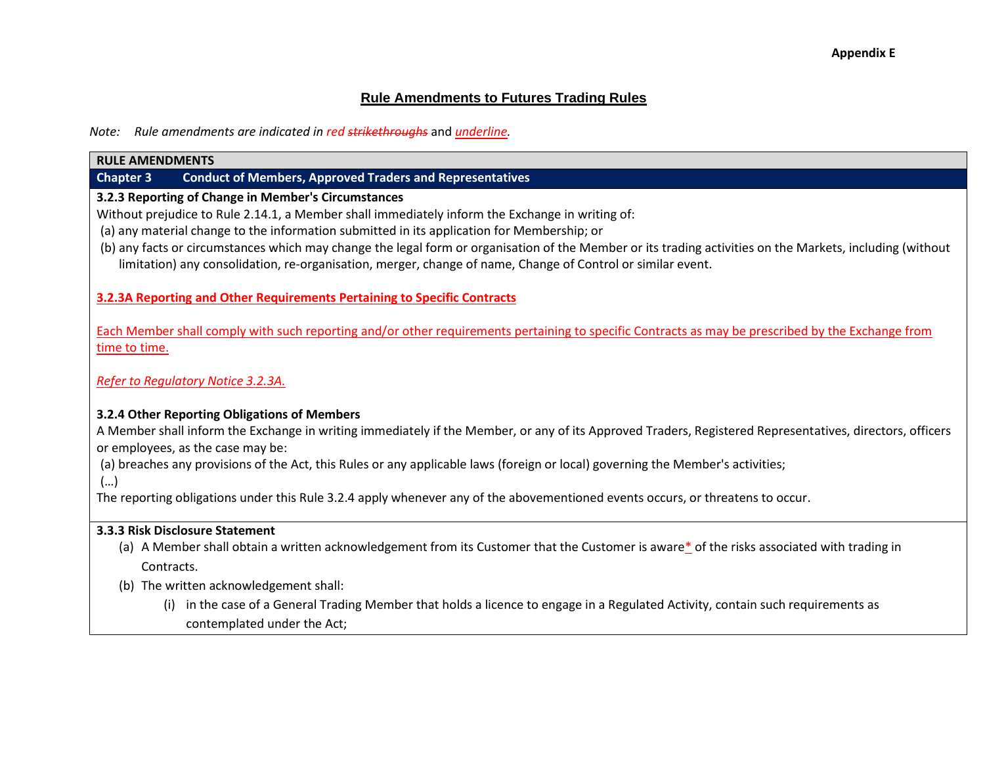# **Rule Amendments to Futures Trading Rules**

*Note: Rule amendments are indicated in red strikethroughs* and *underline.*

#### **RULE AMENDMENTS**

## **Chapter 3 Conduct of Members, Approved Traders and Representatives**

### **3.2.3 Reporting of Change in Member's Circumstances**

Without prejudice to Rule 2.14.1, a Member shall immediately inform the Exchange in writing of:

- (a) any material change to the information submitted in its application for Membership; or
- (b) any facts or circumstances which may change the legal form or organisation of the Member or its trading activities on the Markets, including (without limitation) any consolidation, re-organisation, merger, change of name, Change of Control or similar event.

**3.2.3A Reporting and Other Requirements Pertaining to Specific Contracts** 

Each Member shall comply with such reporting and/or other requirements pertaining to specific Contracts as may be prescribed by the Exchange from time to time.

*Refer to Regulatory Notice 3.2.3A.*

## **3.2.4 Other Reporting Obligations of Members**

A Member shall inform the Exchange in writing immediately if the Member, or any of its Approved Traders, Registered Representatives, directors, officers or employees, as the case may be:

(a) breaches any provisions of the Act, this Rules or any applicable laws (foreign or local) governing the Member's activities;

(…)

The reporting obligations under this Rule 3.2.4 apply whenever any of the abovementioned events occurs, or threatens to occur.

## **3.3.3 Risk Disclosure Statement**

- (a) A Member shall obtain a written acknowledgement from its Customer that the Customer is aware\* of the risks associated with trading in Contracts.
- (b) The written acknowledgement shall:
	- (i) in the case of a General Trading Member that holds a licence to engage in a Regulated Activity, contain such requirements as contemplated under the Act;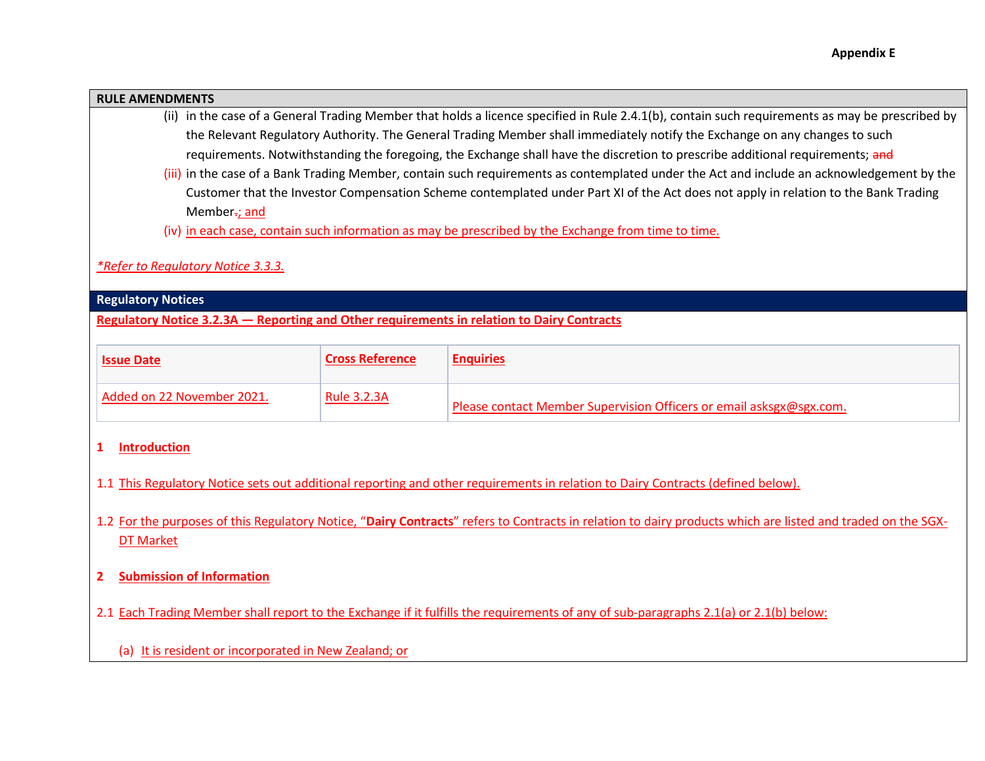#### **RULE AMENDMENTS**

- (ii) in the case of a General Trading Member that holds a licence specified in Rule 2.4.1(b), contain such requirements as may be prescribed by the Relevant Regulatory Authority. The General Trading Member shall immediately notify the Exchange on any changes to such requirements. Notwithstanding the foregoing, the Exchange shall have the discretion to prescribe additional requirements; and
- (iii) in the case of a Bank Trading Member, contain such requirements as contemplated under the Act and include an acknowledgement by the Customer that the Investor Compensation Scheme contemplated under Part XI of the Act does not apply in relation to the Bank Trading Member-; and
- (iv) in each case, contain such information as may be prescribed by the Exchange from time to time.

#### *\*Refer to Regulatory Notice 3.3.3.*

#### **Regulatory Notices**

**Regulatory Notice 3.2.3A — Reporting and Other requirements in relation to Dairy Contracts**

| <b>Issue Date</b>          | <b>Cross Reference</b> | <b>Enquiries</b>                                                    |
|----------------------------|------------------------|---------------------------------------------------------------------|
| Added on 22 November 2021. | <b>Rule 3.2.3A</b>     | Please contact Member Supervision Officers or email asksgx@sgx.com. |

#### **1 Introduction**

- 1.1 This Regulatory Notice sets out additional reporting and other requirements in relation to Dairy Contracts (defined below).
- 1.2 For the purposes of this Regulatory Notice, "**Dairy Contracts**" refers to Contracts in relation to dairy products which are listed and traded on the SGX-DT Market
- **2 Submission of Information**
- 2.1 Each Trading Member shall report to the Exchange if it fulfills the requirements of any of sub-paragraphs 2.1(a) or 2.1(b) below:
	- (a) It is resident or incorporated in New Zealand; or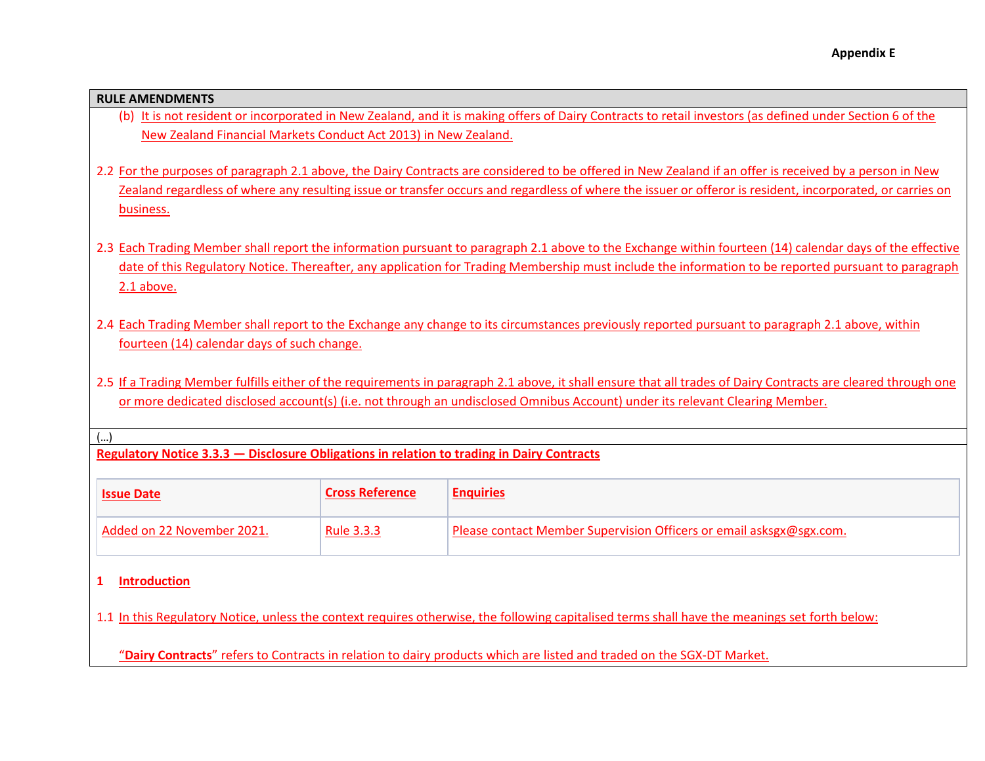#### **RULE AMENDMENTS**

- (b) It is not resident or incorporated in New Zealand, and it is making offers of Dairy Contracts to retail investors (as defined under Section 6 of the New Zealand Financial Markets Conduct Act 2013) in New Zealand.
- 2.2 For the purposes of paragraph 2.1 above, the Dairy Contracts are considered to be offered in New Zealand if an offer is received by a person in New Zealand regardless of where any resulting issue or transfer occurs and regardless of where the issuer or offeror is resident, incorporated, or carries on business.
- 2.3 Each Trading Member shall report the information pursuant to paragraph 2.1 above to the Exchange within fourteen (14) calendar days of the effective date of this Regulatory Notice. Thereafter, any application for Trading Membership must include the information to be reported pursuant to paragraph 2.1 above.
- 2.4 Each Trading Member shall report to the Exchange any change to its circumstances previously reported pursuant to paragraph 2.1 above, within fourteen (14) calendar days of such change.
- 2.5 If a Trading Member fulfills either of the requirements in paragraph 2.1 above, it shall ensure that all trades of Dairy Contracts are cleared through one or more dedicated disclosed account(s) (i.e. not through an undisclosed Omnibus Account) under its relevant Clearing Member.

#### (…)

**Regulatory Notice 3.3.3 — Disclosure Obligations in relation to trading in Dairy Contracts**

| <b>Issue Date</b>          | <b>Cross Reference</b> | <b>Enquiries</b>                                                    |
|----------------------------|------------------------|---------------------------------------------------------------------|
| Added on 22 November 2021. | Rule 3.3.3             | Please contact Member Supervision Officers or email asksgx@sgx.com. |

#### **1 Introduction**

1.1 In this Regulatory Notice, unless the context requires otherwise, the following capitalised terms shall have the meanings set forth below:

"**Dairy Contracts**" refers to Contracts in relation to dairy products which are listed and traded on the SGX-DT Market.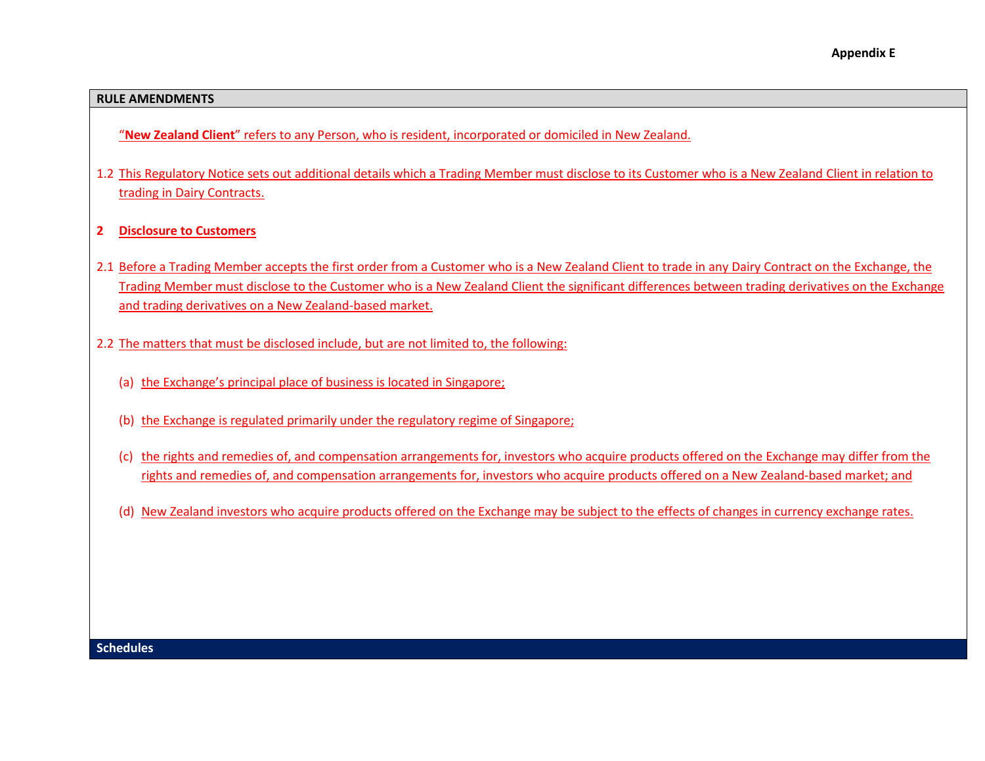#### **RULE AMENDMENTS**

"**New Zealand Client**" refers to any Person, who is resident, incorporated or domiciled in New Zealand.

- 1.2 This Regulatory Notice sets out additional details which a Trading Member must disclose to its Customer who is a New Zealand Client in relation to trading in Dairy Contracts.
- **2 Disclosure to Customers**
- 2.1 Before a Trading Member accepts the first order from a Customer who is a New Zealand Client to trade in any Dairy Contract on the Exchange, the Trading Member must disclose to the Customer who is a New Zealand Client the significant differences between trading derivatives on the Exchange and trading derivatives on a New Zealand-based market.
- 2.2 The matters that must be disclosed include, but are not limited to, the following:
	- (a) the Exchange's principal place of business is located in Singapore;
	- (b) the Exchange is regulated primarily under the regulatory regime of Singapore;
	- (c) the rights and remedies of, and compensation arrangements for, investors who acquire products offered on the Exchange may differ from the rights and remedies of, and compensation arrangements for, investors who acquire products offered on a New Zealand-based market; and
	- (d) New Zealand investors who acquire products offered on the Exchange may be subject to the effects of changes in currency exchange rates.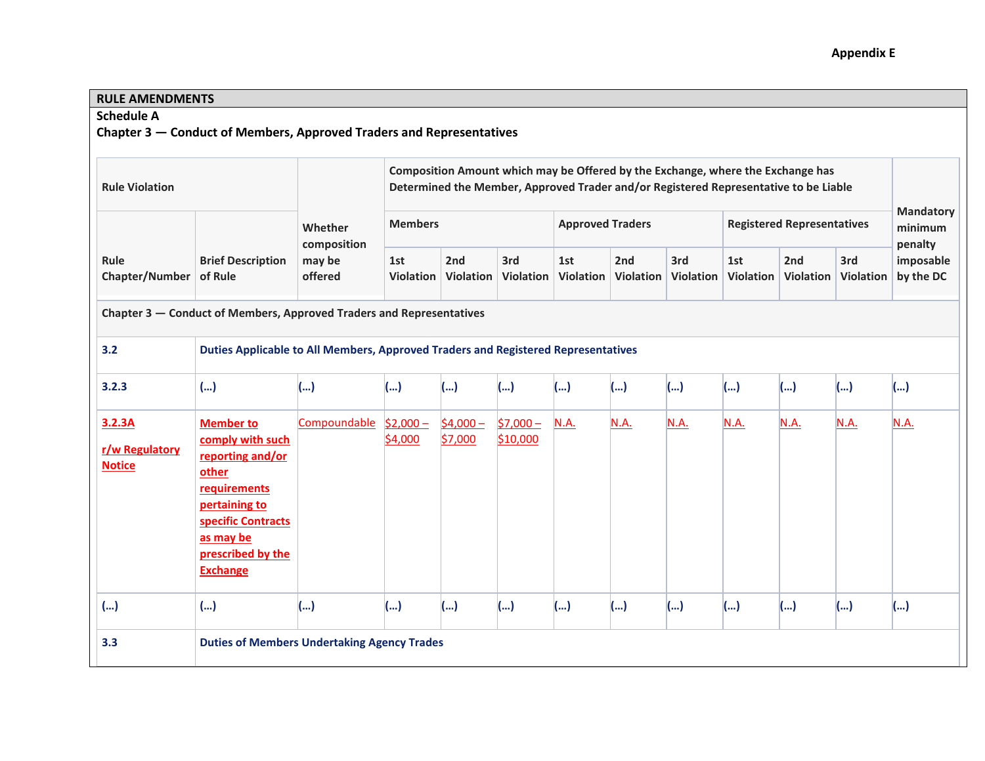# **Appendix E**

# **RULE AMENDMENTS**

# **Schedule A**

**Chapter 3 — Conduct of Members, Approved Traders and Representatives**

| <b>Rule Violation</b>                                                |                                                                                                                                                                               |                                             | Composition Amount which may be Offered by the Exchange, where the Exchange has<br>Determined the Member, Approved Trader and/or Registered Representative to be Liable |                      |                        |                         |                  |                         |                                   |                       |                         | <b>Mandatory</b>                  |
|----------------------------------------------------------------------|-------------------------------------------------------------------------------------------------------------------------------------------------------------------------------|---------------------------------------------|-------------------------------------------------------------------------------------------------------------------------------------------------------------------------|----------------------|------------------------|-------------------------|------------------|-------------------------|-----------------------------------|-----------------------|-------------------------|-----------------------------------|
|                                                                      |                                                                                                                                                                               | Whether<br>composition<br>may be<br>offered | <b>Members</b>                                                                                                                                                          |                      |                        | <b>Approved Traders</b> |                  |                         | <b>Registered Representatives</b> |                       |                         | minimum                           |
| Rule<br>Chapter/Number                                               | <b>Brief Description</b><br>of Rule                                                                                                                                           |                                             | 1st<br>Violation                                                                                                                                                        | 2nd<br>Violation     | 3rd<br>Violation       | 1st<br>Violation        | 2nd<br>Violation | 3rd<br><b>Violation</b> | 1st<br>Violation                  | 2nd<br>Violation      | 3rd<br><b>Violation</b> | penalty<br>imposable<br>by the DC |
| Chapter 3 - Conduct of Members, Approved Traders and Representatives |                                                                                                                                                                               |                                             |                                                                                                                                                                         |                      |                        |                         |                  |                         |                                   |                       |                         |                                   |
| 3.2                                                                  | Duties Applicable to All Members, Approved Traders and Registered Representatives                                                                                             |                                             |                                                                                                                                                                         |                      |                        |                         |                  |                         |                                   |                       |                         |                                   |
| 3.2.3                                                                | ()                                                                                                                                                                            | ()                                          | ()                                                                                                                                                                      | ()                   | ()                     | ()                      | ()               | ()                      | ()                                | ()                    | ()                      | ()                                |
| 3.2.3A<br>r/w Regulatory<br><b>Notice</b>                            | <b>Member to</b><br>comply with such<br>reporting and/or<br>other<br>requirements<br>pertaining to<br>specific Contracts<br>as may be<br>prescribed by the<br><b>Exchange</b> | Compoundable                                | $$2,000-$<br>\$4,000                                                                                                                                                    | $$4,000-$<br>\$7,000 | $$7,000 -$<br>\$10,000 | N.A.                    | N.A.             | N.A.                    | N.A.                              | <b>N.A.</b>           | N.A.                    | N.A.                              |
| ()                                                                   | ()                                                                                                                                                                            | ()                                          | ()                                                                                                                                                                      | ()                   | ()                     | ()                      | ()               | ()                      | ()                                | $\left(\ldots\right)$ | ()                      | ()                                |
| 3.3                                                                  | <b>Duties of Members Undertaking Agency Trades</b>                                                                                                                            |                                             |                                                                                                                                                                         |                      |                        |                         |                  |                         |                                   |                       |                         |                                   |